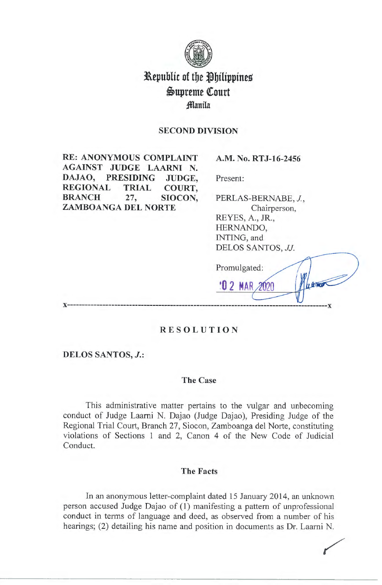

# **Republic of the Philippines i>upreme (ourt ;fflanila**

# **SECOND DIVISION**

**RE: ANONYMOUS COMPLAINT AGAINST JUDGE LAARNI N. DAJAO, PRESIDING JUDGE, REGIONAL TRIAL COURT, BRANCH 27, SIOCON, ZAMBOANGA DEL NORTE** 

**A.M. No. RTJ-16-2456** 

Present:

PERLAS-BERNABE, J, Chairperson, REYES, A., JR., HERNANDO, INTING, and DELOS SANTOS, *JJ.* 

LETTE

**10 2 MAR** າກາດ

Promulgated:

**x-----------------------------------------------------------------------------------------x** 

# **RESOLUTION**

**DELOS SANTOS,** *J.:* 

#### **The Case**

This administrative matter pertains to the vulgar and unbecoming conduct of Judge Laarni N. Dajao (Judge Dajao), Presiding Judge of the Regional Trial Court, Branch 27, Siocon, Zamboanga del Norte, constituting violations of Sections 1 and 2, Canon 4 of the New Code of Judicial Conduct.

## **The Facts**

In an anonymous letter-complaint dated 15 January 2014, an unknown person accused Judge Dajao of (1) manifesting a pattern of unprofessional conduct in terms of language and deed, as observed from a number of his hearings; (2) detailing his name and position in documents as Dr. Laarni N.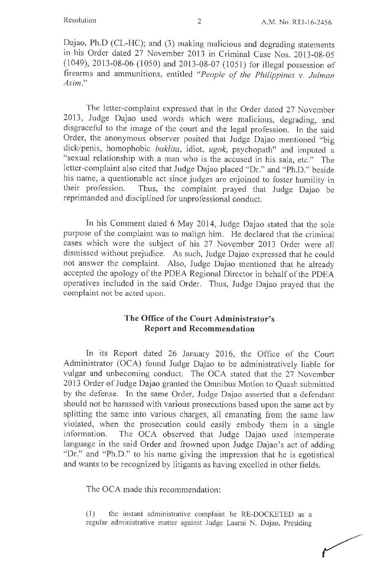Dajao, Ph.D (CL-HC); and (3) making malicious and degrading statements in his Order dated 27 November 2013 in Criminal Case Nos. 2013-08-05 (1049), 2013-08-06 (1050) and 2013-08-07 (1051) for illegal possession of fireanns and ammunitions, entitled *"People of the Philippines v. Julman Asim."* 

The letter-complaint expressed that in the Order dated 27 November 2013, Judge Dajao used words which were malicious, degrading, and disgraceful to the image of the court and the legal profession. In the said Order, the anonymous observer posited that Judge Dajao mentioned "big dick/penis, homophobic *baklita*, idiot, ugok, psychopath" and imputed a "sexual relationship with a man who is the accused in his sala, etc." The letter-complaint also cited that Judge Dajao placed "Dr." and "Ph.D." beside his name, a questionable act since judges are enjoined to foster humility in their profession. Thus, the complaint prayed that Judge Dajao be reprimanded and disciplined for unprofessional conduct.

In his Comment dated 6 May 2014, Judge Dajao stated that the sole purpose of the complaint was to malign him. He declared that the criminal cases which were the subject of his 27 November 2013 Order were all dismissed without prejudice. As such, Judge Dajao expressed that he could not answer the complaint. Also, Judge Dajao mentioned that he already accepted the apology of the PDEA Regional Director in behalf of the PDEA operatives included in the said Order. Thus, Judge Dajao prayed that the complaint not be acted upon.

# **The Office of the Court Administrator's Report and Recommendation**

In its Report dated 26 January 2016, the Office of the Court Administrator (OCA) found Judge Dajao to be administratively liable for vulgar and unbecoming conduct. The OCA stated that the 27 November 2013 Order of Judge Dajao granted the Omnibus Motion to Quash submitted by the defense. In the same Order, Judge Dajao asserted that a defendant should not be harassed with various prosecutions based upon the same act by splitting the same into various charges, all emanating from the same law violated, when the prosecution could easily embody them in a single information. The OCA observed that Judge Dajao used intemperate language in the said Order and frowned upon Judge Dajao's act of adding "Dr." and "Ph.D." to his name giving the impression that he is egotistical and wants to be recognized by litigants as having excelled in other fields.

The OCA made this recommendation:

(1) the instant administrative complaint be RE-DOCKETED as a regular administrative matter against Judge Laarni N. Dajao, Presiding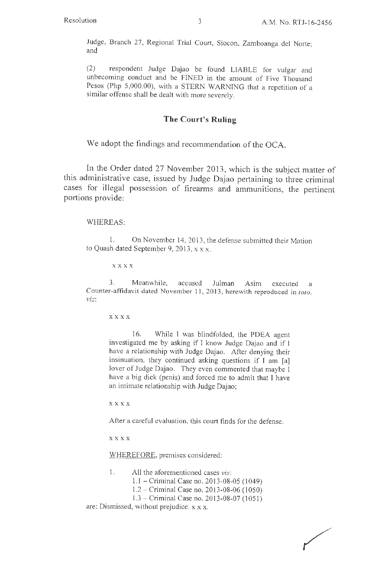Judge, Branch 27, Regional Trial Court, Siocon, Zamboanga de! Norte; and

(2) respondent Judge Dajao be found LIABLE for vulgar and unbecoming conduct and be FINED in the amount of Five Thousand Pesos (Php 5,000.00), with a STERN WARNING that a repetition of a similar offense shall be dealt with more severely.

## **The Court's Ruling**

We adopt the findings and recommendation of the OCA.

In the Order dated 27 November 2013, which is the subject matter of this administrative case, issued by Judge Dajao pertaining to three criminal cases for illegal possession of firearms and ammunitions, the pertinent portions provide:

#### WHEREAS:

1. On November 14, 2013, the defense submitted their Motion to Quash dated September 9, 2013,  $x \times x$ .

**xxxx** 

3. Meanwhile, accused Julman Asim executed a Counter-affidavit dated November 11 , 2013, herewith reproduced in *toto, viz:* 

**xxxx** 

16. While I was blindfolded, the PDEA agent investigated me by asking if I know Judge Dajao and if I have a relationship with Judge Dajao. After denying their insinuation, they continued asking questions if I am [a] lover of Judge Dajao. They even commented that maybe I have a big dick (penis) and forced me to admit that I have an intimate relationship with Judge Dajao;

**xxxx** 

After a careful evaluation, this court finds for the defense.

**xxxx** 

WHEREFORE, premises considered:

- 1. All the aforementioned cases *vis:* 
	- 1. I Criminal Case no. 2013-08-05 (1049)
	- 1.2 Criminal Case no. 2013-08-06 ( 1050)
	- 1.3-Criminal Case no. 2013-08-07 (1051 )

are: Dismissed, without prejudice. x x x.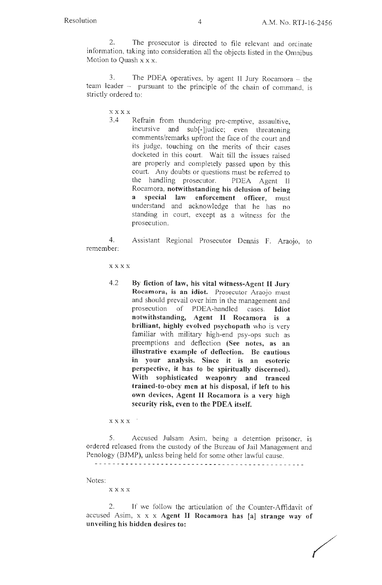2. The prosecutor is directed to file relevant and ordinate information, taking into consideration all the objects listed in the Omnibus Motion to Quash  $x \times x$ .

3. The PDEA operatives, by agent II Jury Rocamora - the team leader - pursuant to the principle of the chain of command, is strictly ordered to:

**xxxx** 

3 .4 Refrain from thundering pre-emptive, assaultive, incursive and sub[-]judice; even threatening comments/remarks upfront the face of the court and its judge, touching on the merits of their cases docketed in this court. Wait till the issues raised are properly and completely passed upon by this court. Any doubts or questions must be referred to the handling prosecutor. PDEA Agent II Rocamora, **notwithstanding his delusion of being a special law enforcement officer,** must understand and acknowledge that he has no standing in court, except as a witness for the prosecution.

4. Assistant Regional Prosecutor Dennis F. Araojo, to remember:

**xxxx** 

4.2 **By fiction of law, his vital witness-Agent** II Jury **Rocamora, is an idiot.** Prosecutor Araojo must and should prevail over him in the management and prosecution of PDEA-handled cases. **Idiot notwithstanding, Agent** II **Rocamora is a brilliant, highly evolved psychopath** who is very familiar with military high-end psy-ops such as preemptions and deflection **(See notes, as an illustrative example of deflection. Be cautious in your analysis. Since it is an esoteric perspective, it has to be spiritually discerned). With sophisticated weaponry and tranced trained-to-obey men at his disposal, if left to his own devices, Agent** II **Rocamora is a very high security risk, even to the PDEA itself.** 

**xxxx** 

5. Accused Julsam Asim, being a detention prisoner, is ordered released from the custody of the Bureau of Jail Management and Penology (BJMP), unless being held for some other lawful cause.

Notes:

**xxxx** 

2. If we follow the articulation of the Counter-Affidavit of accused Asim, x x x **Agent** II **Rocamora has [a] strange way of unveiling his hidden desires to:** 

/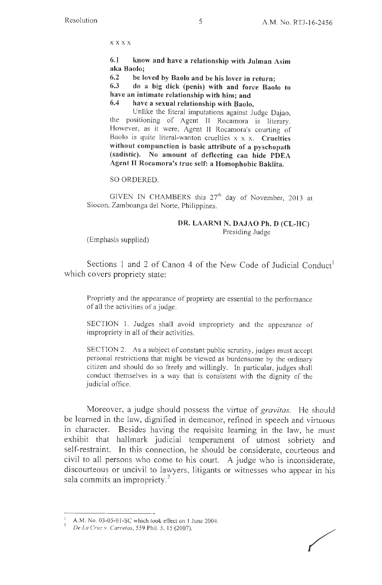**xxxx** 

**6.1 know and have a relationship with Julman Asim aka Baolo;** 

**6.2 be loved by Baolo and be his lover in return;** 

**6.3 do a big dick (penis) with and force Baolo to have an intimate relationship with him; and** 

**6.4 have a sexual relationship with Baolo.** 

Unlike the literal imputations against Judge Dajao, the positioning of Agent II Rocamora is literary. However, as it were, Agent II Rocamora's courting of Baolo is quite literal-wanton cruelties x x x. **Cruelties without compunction is basic attribute of a pyschopath (sadistic). No amount of deflecting can hide PDEA Agent** II **Rocamora's true self: a Homophobic Baklita.** 

SO ORDERED.

GIVEN IN CHAMBERS this  $27<sup>th</sup>$  day of November, 2013 at Siocon, Zamboanga de! Norte, Philippines.

#### **DR. LAARNI N. DAJAO Ph. D (CL-HC)**  Presiding Judge

(Emphasis supplied)

Sections 1 and 2 of Canon 4 of the New Code of Judicial Conduct' which covers propriety state:

Propriety and the appearance of propriety are essential to the performance of all the activities of a judge.

SECTION 1. Judges shall avoid impropriety and the appearance of impropriety in all of their activities.

SECTION 2. As a subject of constant public scrutiny, judges must accept personal restrictions that might be viewed as burdensome by the ordinary citizen and should do so freely and willingly. In particular, judges shall conduct themselves in a way that is consistent with the dignity of the judicial office.

Moreover, a judge should possess the virtue of *gravitas.* He should be learned in the law, dignified in demeanor, refined in speech and virtuous in character. Besides having the requisite learning in the law, he must exhibit that hallmark judicial temperament of utmost sobriety and self-restraint. In this connection, he should be considerate, courteous and civil to all persons who come to his court. A judge who is inconsiderate, discourteous or uncivil to lawyers, litigants or witnesses who appear in his sala commits an impropriety.<sup>2</sup>

 $1$  A.M. No. 03-05-01-SC which took effect on 1 June 2004.

*De La Cruz v. Carretas,* 559 Phil. 5, 15 (2007).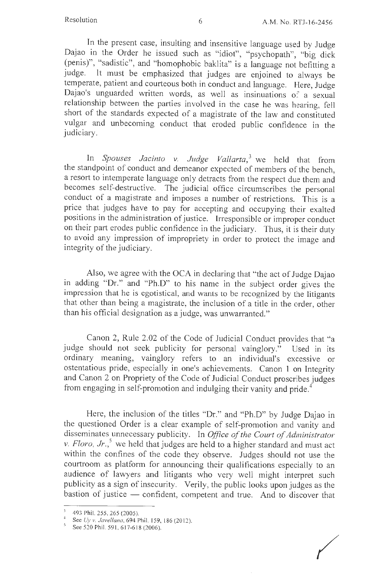In the present case, insulting and insensitive language used by Judge Dajao in the Order he issued such as "idiot", "psychopath", "big dick (penis)", "sadistic", and "homophobic baklita" is a language not befitting a judge. It must be emphasized that judges are enjoined to always be temperate, patient and courteous both in conduct and language. Here, Judge Dajao's unguarded written words, as well as insinuations of a sexual relationship between the parties involved in the case he was hearing, fell short of the standards expected of a magistrate of the law and constituted vulgar and unbecoming conduct that eroded public confidence in the judiciary.

In *Spouses Jacinto v. Judge Vallarta*,<sup>3</sup> we held that from the standpoint of conduct and demeanor expected of members of the bench, a resort to intemperate language only detracts from the respect due them and becomes self-destructive. The judicial office circumscribes the personal conduct of a magistrate and imposes a number of restrictions. This is a price that judges have to pay for accepting and occupying their exalted positions in the administration of justice. Irresponsible or improper conduct on their part erodes public confidence in the judiciary. Thus, it is their duty to avoid any impression of impropriety in order to protect the image and integrity of the judiciary.

Also, we agree with the OCA in declaring that "the act of Judge Dajao in adding "Dr." and "Ph.D" to his name in the subject order gives the impression that he is egotistical, and wants to be recognized by the litigants that other than being a magistrate, the inclusion of a title in the order, other than his official designation as a judge, was unwarranted."

Canon 2, Rule 2.02 of the Code of Judicial Conduct provides that "a judge should not seek publicity for personal vainglory." Used in its ordinary meaning, vainglory refers to an individual's excessive or ostentatious pride, especially in one's achievements. Canon 1 on Integrity and Canon 2 on Propriety of the Code of Judicial Conduct proscribes judges from engaging in self-promotion and indulging their vanity and pride.<sup>4</sup>

Here, the inclusion of the titles "Dr." and "Ph.D" by Judge Dajao in the questioned Order is a clear example of self-promotion and vanity and disseminates unnecessary publicity. In *Office of the Court of Administrator*  v.  $Floro, Jr.,<sup>5</sup>$  we held that judges are held to a higher standard and must act within the confines of the code they observe. Judges should not use the courtroom as platform for announcing their qualifications especially to an audience of lawyers and litigants who very well might interpret such publicity as a sign of insecurity. Verily, the public looks upon judges as the bastion of justice  $-$  confident, competent and true. And to discover that

<sup>493</sup> Phil. 255, 265 (2005).

See *Uy v. Javellana*, 694 Phil. 159, 186 (2012).

<sup>&</sup>lt;sup>5</sup> See 520 Phil. 591, 617-618 (2006).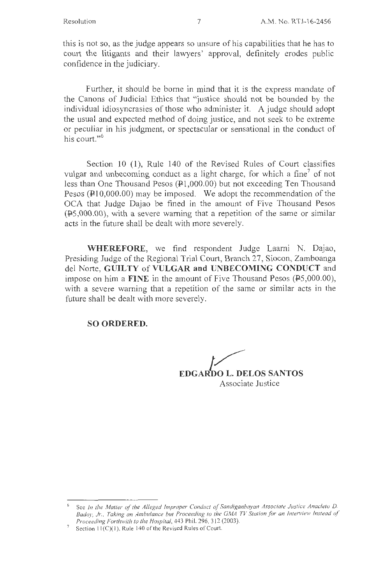this is not so, as the judge appears so unsure of his capabilities that he has to court the litigants and their lawyers' approval, definitely erodes public confidence in the judiciary.

Further, it should be borne in mind that it is the express mandate of the Canons of Judicial Ethics that "justice should not be bounded by the individual idiosyncrasies of those who administer it. A judge should adopt the usual and expected method of doing justice, and not seek to be extreme or peculiar in his judgment, or spectacular or sensational in the conduct of his court."<sup>6</sup>

Section 10 (1), Rule 140 of the Revised Rules of Court classifies vulgar and unbecoming conduct as a light charge, for which a fine<sup>7</sup> of not less than One Thousand Pesos  $(41,000.00)$  but not exceeding Ten Thousand Pesos ( $\text{\textsterling}10,000.00$ ) may be imposed. We adopt the recommendation of the OCA that Judge Dajao be fined in the amount of Five Thousand Pesos  $(F5,000.00)$ , with a severe warning that a repetition of the same or similar acts in the future shall be dealt with more severely.

**WHEREFORE,** we find respondent Judge Laarni N. Dajao, Presiding Judge of the Regional Trial Court, Branch 27, Siocon, Zamboanga de! Norte, **GUILTY of VULGAR and UNBECOMING CONDUCT** and impose on him a **FINE** in the amount of Five Thousand Pesos (PS,000.00), with a severe warning that a repetition of the same or similar acts in the future shall be dealt with more severely.

### **SO ORDERED.**

**EDGARDO L. DELOS SANTOS** Associate Justice

<sup>6</sup>See *In the Maller of the Alleged Improper Conduct of Sandiganbayan Associate Justice Anacleto D.*  Badoy, Jr., Taking an Ambulance but Proceeding to the GMA TV Station for an Interview Instead of *Proceeding Forthwith to the Hospital,* 443 Phil. 296,3 12 (2003).

Section  $11(C)(1)$ , Rule 140 of the Revised Rules of Court.